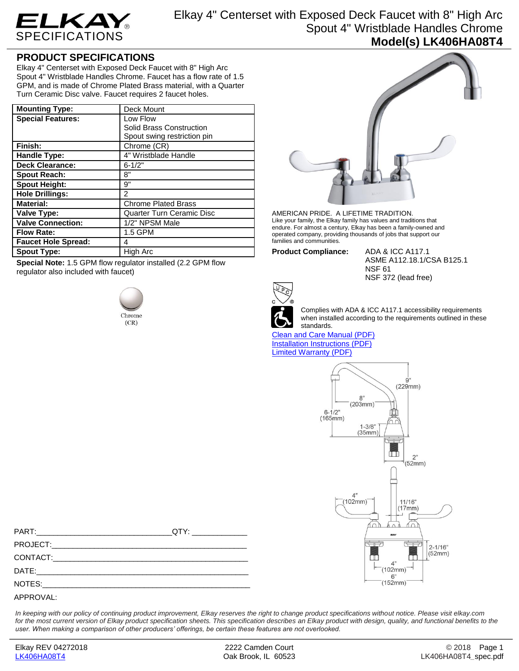

Elkay 4" Centerset with Exposed Deck Faucet with 8" High Arc Spout 4" Wristblade Handles Chrome **Model(s) LK406HA08T4**

## **PRODUCT SPECIFICATIONS**

Elkay 4" Centerset with Exposed Deck Faucet with 8" High Arc Spout 4" Wristblade Handles Chrome. Faucet has a flow rate of 1.5 GPM, and is made of Chrome Plated Brass material, with a Quarter Turn Ceramic Disc valve. Faucet requires 2 faucet holes.

| <b>Mounting Type:</b>      | Deck Mount                       |
|----------------------------|----------------------------------|
| <b>Special Features:</b>   | Low Flow                         |
|                            | Solid Brass Construction         |
|                            | Spout swing restriction pin      |
| Finish:                    | Chrome (CR)                      |
| Handle Type:               | 4" Wristblade Handle             |
| <b>Deck Clearance:</b>     | $6 - 1/2"$                       |
| <b>Spout Reach:</b>        | 8"                               |
| <b>Spout Height:</b>       | 9"                               |
| <b>Hole Drillings:</b>     | $\mathfrak{p}$                   |
| <b>Material:</b>           | <b>Chrome Plated Brass</b>       |
| Valve Type:                | <b>Quarter Turn Ceramic Disc</b> |
| <b>Valve Connection:</b>   | 1/2" NPSM Male                   |
| <b>Flow Rate:</b>          | 1.5 GPM                          |
| <b>Faucet Hole Spread:</b> | 4                                |
| <b>Spout Type:</b>         | High Arc                         |

**Special Note:** 1.5 GPM flow regulator installed (2.2 GPM flow regulator also included with faucet)





AMERICAN PRIDE. A LIFETIME TRADITION. Like your family, the Elkay family has values and traditions that endure. For almost a century, Elkay has been a family-owned and operated company, providing thousands of jobs that support our families and communities.

**Product Compliance:** ADA & ICC A117.1

ASME A112.18.1/CSA B125.1 NSF 61 NSF 372 (lead free)



Complies with ADA & ICC A117.1 accessibility requirements when installed according to the requirements outlined in these standards.

[Clean and Care Manual \(PDF\)](http://www.elkay.com/wcsstore/lkdocs/care-cleaning-install-warranty-sheets/residential%20and%20commercial%20care%20%20cleaning.pdf) [Installation Instructions \(PDF\)](http://www.elkay.com/wcsstore/lkdocs/care-cleaning-install-warranty-sheets/a55483.pdf) [Limited Warranty](http://www.elkay.com/wcsstore/lkdocs/care-cleaning-install-warranty-sheets/commercial%20sinks%20and%20faucets%20warranty.pdf) (PDF)



| $QTY:$ and $QTY:$ and $QTY:$ and $QTY:$ and $QTY:$ |
|----------------------------------------------------|
|                                                    |
|                                                    |
|                                                    |
|                                                    |
|                                                    |

*In keeping with our policy of continuing product improvement, Elkay reserves the right to change product specifications without notice. Please visit elkay.com*  for the most current version of Elkay product specification sheets. This specification describes an Elkay product with design, quality, and functional benefits to the *user. When making a comparison of other producers' offerings, be certain these features are not overlooked.*